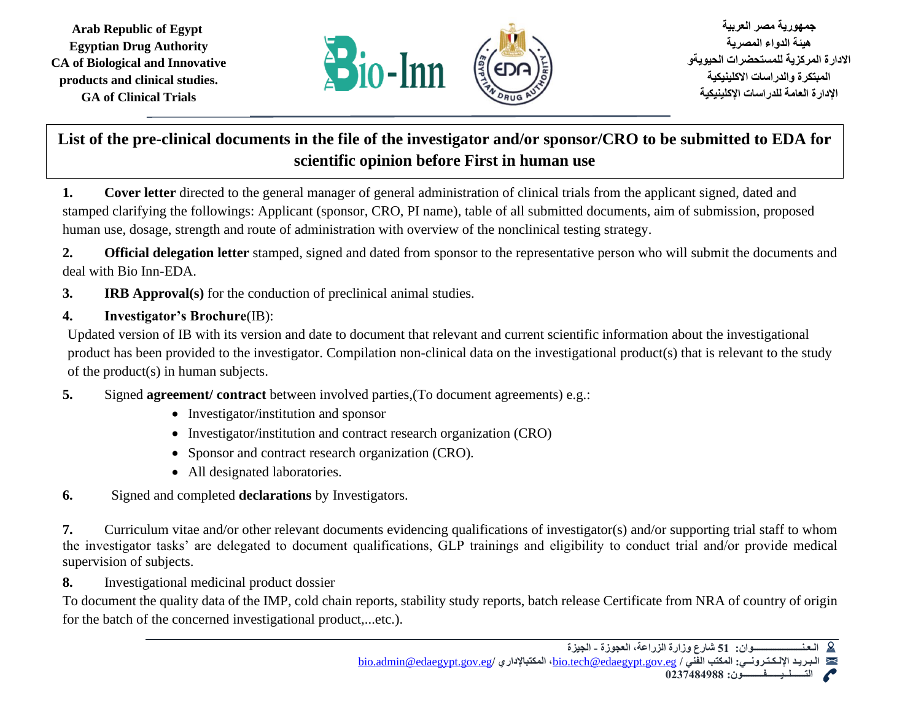**Arab Republic of Egypt Egyptian Drug Authority CA of Biological and Innovative products and clinical studies. GA of Clinical Trials**



 **جمهورية مصر العربية هيئة الدواء المصرية االدارة المركزية للمستحضرات الحيويةو المبتكرة والدراسات االكلينيكية اإلدارة العامة للدراسات اإلكلينيكية** 

## **List of the pre-clinical documents in the file of the investigator and/or sponsor/CRO to be submitted to EDA for scientific opinion before First in human use**

**1. Cover letter** directed to the general manager of general administration of clinical trials from the applicant signed, dated and stamped clarifying the followings: Applicant (sponsor, CRO, PI name), table of all submitted documents, aim of submission, proposed human use, dosage, strength and route of administration with overview of the nonclinical testing strategy.

**2. Official delegation letter** stamped, signed and dated from sponsor to the representative person who will submit the documents and deal with Bio Inn-EDA.

## **3. IRB Approval(s)** for the conduction of preclinical animal studies.

## **4. Investigator's Brochure**(IB):

Updated version of IB with its version and date to document that relevant and current scientific information about the investigational product has been provided to the investigator. Compilation non-clinical data on the investigational product(s) that is relevant to the study of the product(s) in human subjects.

- **5.** Signed **agreement/ contract** between involved parties,(To document agreements) e.g.:
	- Investigator/institution and sponsor
	- Investigator/institution and contract research organization (CRO)
	- Sponsor and contract research organization (CRO).
	- All designated laboratories.
- **6.** Signed and completed **declarations** by Investigators.

**7.** Curriculum vitae and/or other relevant documents evidencing qualifications of investigator(s) and/or supporting trial staff to whom the investigator tasks' are delegated to document qualifications, GLP trainings and eligibility to conduct trial and/or provide medical supervision of subjects.

**8.** Investigational medicinal product dossier

To document the quality data of the IMP, cold chain reports, stability study reports, batch release Certificate from NRA of country of origin for the batch of the concerned investigational product,...etc.).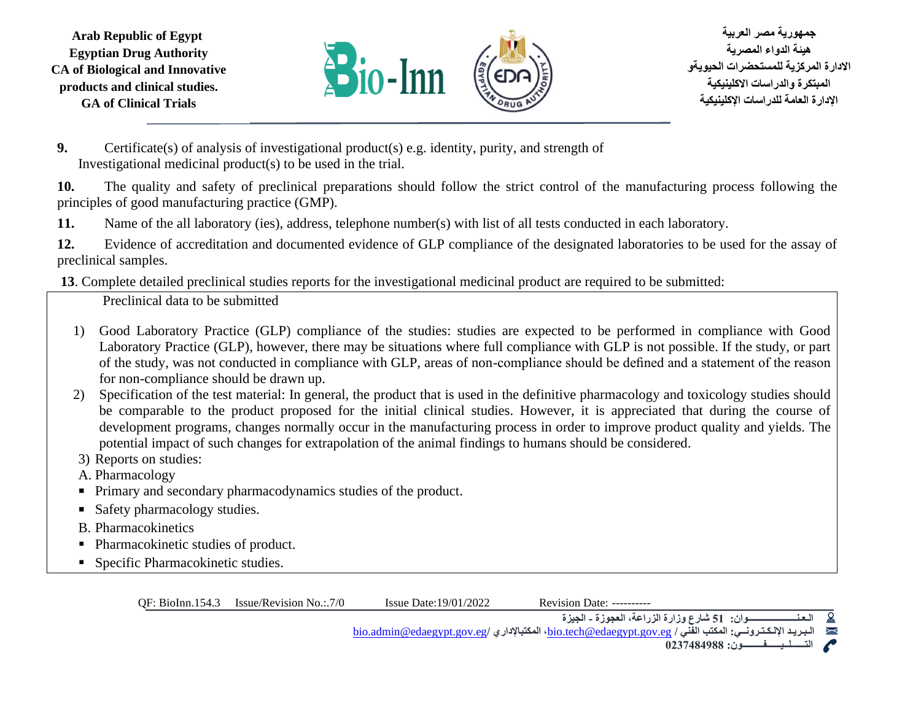**Arab Republic of Egypt Egyptian Drug Authority CA of Biological and Innovative products and clinical studies. GA of Clinical Trials**



 **جمهورية مصر العربية هيئة الدواء المصرية االدارة المركزية للمستحضرات الحيويةو المبتكرة والدراسات االكلينيكية اإلدارة العامة للدراسات اإلكلينيكية** 

**9.** Certificate(s) of analysis of investigational product(s) e.g. identity, purity, and strength of Investigational medicinal product(s) to be used in the trial.

**10.** The quality and safety of preclinical preparations should follow the strict control of the manufacturing process following the principles of good manufacturing practice (GMP).

**11.** Name of the all laboratory (ies), address, telephone number(s) with list of all tests conducted in each laboratory.

**12.** Evidence of accreditation and documented evidence of GLP compliance of the designated laboratories to be used for the assay of preclinical samples.

**13**. Complete detailed preclinical studies reports for the investigational medicinal product are required to be submitted:

Preclinical data to be submitted

- 1) Good Laboratory Practice (GLP) compliance of the studies: studies are expected to be performed in compliance with Good Laboratory Practice (GLP), however, there may be situations where full compliance with GLP is not possible. If the study, or part of the study, was not conducted in compliance with GLP, areas of non-compliance should be defined and a statement of the reason for non-compliance should be drawn up.
- 2) Specification of the test material: In general, the product that is used in the definitive pharmacology and toxicology studies should be comparable to the product proposed for the initial clinical studies. However, it is appreciated that during the course of development programs, changes normally occur in the manufacturing process in order to improve product quality and yields. The potential impact of such changes for extrapolation of the animal findings to humans should be considered.
- 3) Reports on studies:
- A. Pharmacology
- Primary and secondary pharmacodynamics studies of the product.
- Safety pharmacology studies.
- B. Pharmacokinetics
- Pharmacokinetic studies of product.
- **•** Specific Pharmacokinetic studies.

QF: BioInn.154.3 Issue/Revision No.:.7/0 Issue Date:19/01/2022 Revision Date: ----------

**الـعـنـــــــــــــــــــــوان: 51 شارع وزارة الزراعة، العجوزة - الجيزة**   $\Omega$ 

[bio.admin@edaegypt.gov.eg](mailto:bio.admin@edaegypt.gov.eg)**/ المكتباإلداري ،**[bio.tech@edaegypt.gov.eg](mailto:bio.tech@edaegypt.gov.eg) **/ الفني المكتب :اإللـكـتـرونــي الـبـريـد**  X

**التــــــلــيــــــفـــــــــون: 0237484988**